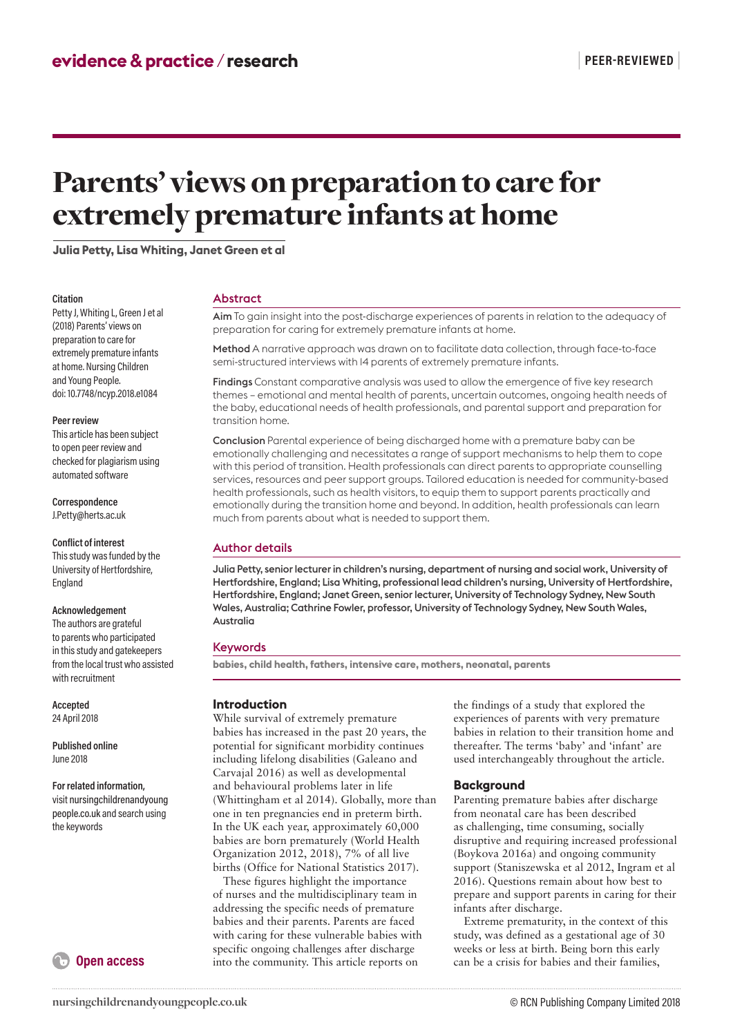# Parents' views on preparation to care for extremely premature infants at home

**Julia Petty, Lisa Whiting, Janet Green et al**

#### **Citation**

Petty J, Whiting L, Green J et al (2018) Parents' views on preparation to care for extremely premature infants at home. Nursing Children and Young People. doi: 10.7748/ncyp.2018.e1084

#### **Peer review**

This article has been subject to open peer review and checked for plagiarism using automated software

**Correspondence** J.Petty@herts.ac.uk

#### **Conflict of interest**

This study was funded by the University of Hertfordshire, England

#### **Acknowledgement**

The authors are grateful to parents who participated in this study and gatekeepers from the local trust who assisted with recruitment

**Accepted** 24 April 2018

**Published online** June 2018

#### **For related information,**

visit nursingchildrenandyoung people.co.uk and search using the keywords



Abstract

Aim To gain insight into the post-discharge experiences of parents in relation to the adequacy of preparation for caring for extremely premature infants at home.

Method A narrative approach was drawn on to facilitate data collection, through face-to-face semi-structured interviews with 14 parents of extremely premature infants.

Findings Constant comparative analysis was used to allow the emergence of five key research themes – emotional and mental health of parents, uncertain outcomes, ongoing health needs of the baby, educational needs of health professionals, and parental support and preparation for transition home.

Conclusion Parental experience of being discharged home with a premature baby can be emotionally challenging and necessitates a range of support mechanisms to help them to cope with this period of transition. Health professionals can direct parents to appropriate counselling services, resources and peer support groups. Tailored education is needed for community-based health professionals, such as health visitors, to equip them to support parents practically and emotionally during the transition home and beyond. In addition, health professionals can learn much from parents about what is needed to support them.

# Author details

Julia Petty, senior lecturer in children's nursing, department of nursing and social work, University of Hertfordshire, England; Lisa Whiting, professional lead children's nursing, University of Hertfordshire, Hertfordshire, England; Janet Green, senior lecturer, University of Technology Sydney, New South Wales, Australia; Cathrine Fowler, professor, University of Technology Sydney, New South Wales, Australia

## Keywords

**babies, child health, fathers, intensive care, mothers, neonatal, parents** 

## **Introduction**

While survival of extremely premature babies has increased in the past 20 years, the potential for significant morbidity continues including lifelong disabilities (Galeano and Carvajal 2016) as well as developmental and behavioural problems later in life (Whittingham et al 2014). Globally, more than one in ten pregnancies end in preterm birth. In the UK each year, approximately 60,000 babies are born prematurely (World Health Organization 2012, 2018), 7% of all live births (Office for National Statistics 2017).

These figures highlight the importance of nurses and the multidisciplinary team in addressing the specific needs of premature babies and their parents. Parents are faced with caring for these vulnerable babies with specific ongoing challenges after discharge into the community. This article reports on

the findings of a study that explored the experiences of parents with very premature babies in relation to their transition home and thereafter. The terms 'baby' and 'infant' are used interchangeably throughout the article.

# **Background**

Parenting premature babies after discharge from neonatal care has been described as challenging, time consuming, socially disruptive and requiring increased professional (Boykova 2016a) and ongoing community support (Staniszewska et al 2012, Ingram et al 2016). Questions remain about how best to prepare and support parents in caring for their infants after discharge.

Extreme prematurity, in the context of this study, was defined as a gestational age of 30 weeks or less at birth. Being born this early can be a crisis for babies and their families,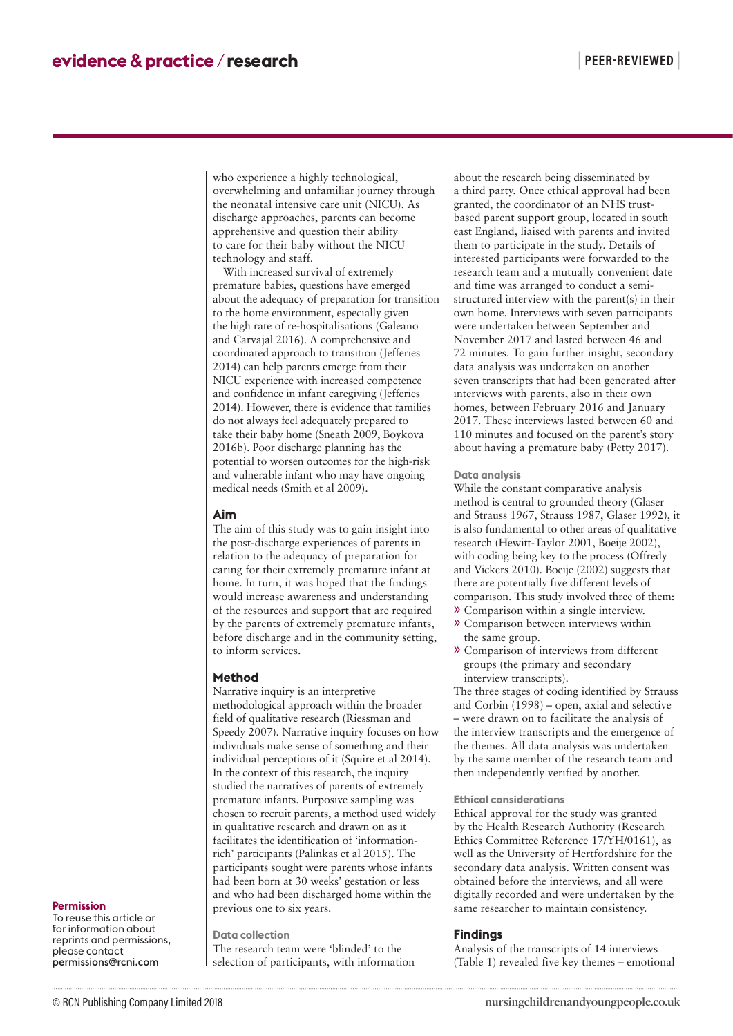who experience a highly technological, overwhelming and unfamiliar journey through the neonatal intensive care unit (NICU). As discharge approaches, parents can become apprehensive and question their ability to care for their baby without the NICU technology and staff.

With increased survival of extremely premature babies, questions have emerged about the adequacy of preparation for transition to the home environment, especially given the high rate of re-hospitalisations (Galeano and Carvajal 2016). A comprehensive and coordinated approach to transition (Jefferies 2014) can help parents emerge from their NICU experience with increased competence and confidence in infant caregiving (Jefferies 2014). However, there is evidence that families do not always feel adequately prepared to take their baby home (Sneath 2009, Boykova 2016b). Poor discharge planning has the potential to worsen outcomes for the high-risk and vulnerable infant who may have ongoing medical needs (Smith et al 2009).

#### **Aim**

The aim of this study was to gain insight into the post-discharge experiences of parents in relation to the adequacy of preparation for caring for their extremely premature infant at home. In turn, it was hoped that the findings would increase awareness and understanding of the resources and support that are required by the parents of extremely premature infants, before discharge and in the community setting, to inform services.

#### **Method**

Narrative inquiry is an interpretive methodological approach within the broader field of qualitative research (Riessman and Speedy 2007). Narrative inquiry focuses on how individuals make sense of something and their individual perceptions of it (Squire et al 2014). In the context of this research, the inquiry studied the narratives of parents of extremely premature infants. Purposive sampling was chosen to recruit parents, a method used widely in qualitative research and drawn on as it facilitates the identification of 'informationrich' participants (Palinkas et al 2015). The participants sought were parents whose infants had been born at 30 weeks' gestation or less and who had been discharged home within the previous one to six years.

**Data collection**

The research team were 'blinded' to the selection of participants, with information about the research being disseminated by a third party. Once ethical approval had been granted, the coordinator of an NHS trustbased parent support group, located in south east England, liaised with parents and invited them to participate in the study. Details of interested participants were forwarded to the research team and a mutually convenient date and time was arranged to conduct a semistructured interview with the parent(s) in their own home. Interviews with seven participants were undertaken between September and November 2017 and lasted between 46 and 72 minutes. To gain further insight, secondary data analysis was undertaken on another seven transcripts that had been generated after interviews with parents, also in their own homes, between February 2016 and January 2017. These interviews lasted between 60 and 110 minutes and focused on the parent's story about having a premature baby (Petty 2017).

#### **Data analysis**

While the constant comparative analysis method is central to grounded theory (Glaser and Strauss 1967, Strauss 1987, Glaser 1992), it is also fundamental to other areas of qualitative research (Hewitt-Taylor 2001, Boeije 2002), with coding being key to the process (Offredy and Vickers 2010). Boeije (2002) suggests that there are potentially five different levels of comparison. This study involved three of them:

- » Comparison within a single interview.
- » Comparison between interviews within the same group.
- » Comparison of interviews from different groups (the primary and secondary interview transcripts).

The three stages of coding identified by Strauss and Corbin (1998) – open, axial and selective – were drawn on to facilitate the analysis of the interview transcripts and the emergence of the themes. All data analysis was undertaken by the same member of the research team and then independently verified by another.

#### **Ethical considerations**

Ethical approval for the study was granted by the Health Research Authority (Research Ethics Committee Reference 17/YH/0161), as well as the University of Hertfordshire for the secondary data analysis. Written consent was obtained before the interviews, and all were digitally recorded and were undertaken by the same researcher to maintain consistency.

#### **Findings**

Analysis of the transcripts of 14 interviews (Table 1) revealed five key themes – emotional

#### **Permission**

To reuse this article or for information about reprints and permissions, please contact permissions@rcni.com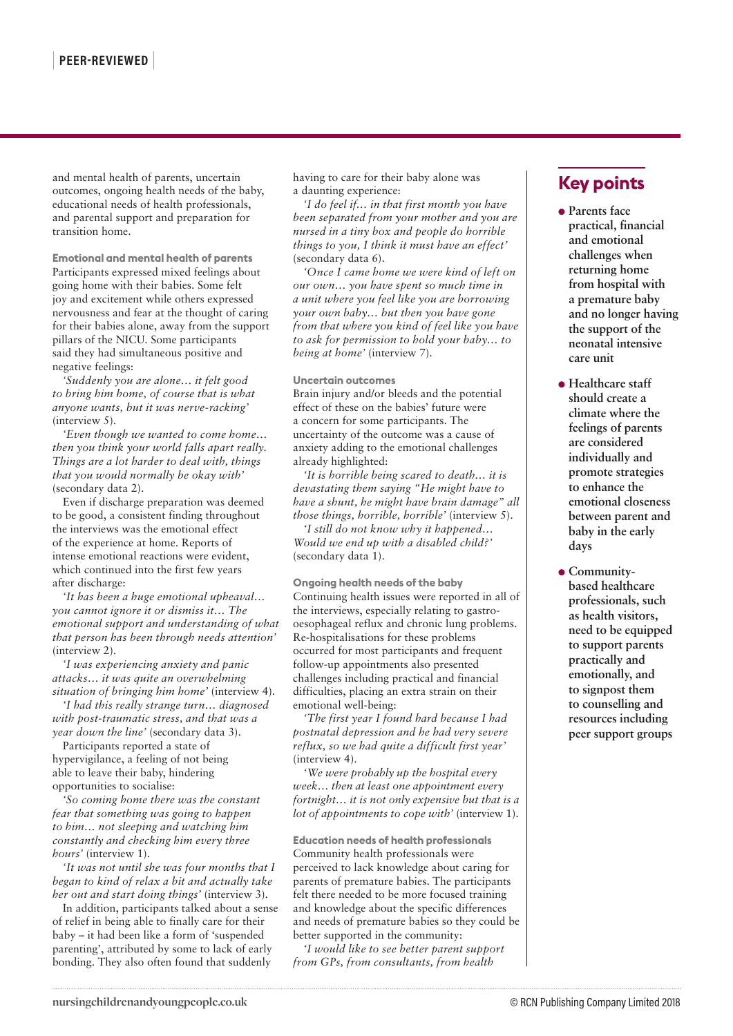and mental health of parents, uncertain outcomes, ongoing health needs of the baby, educational needs of health professionals, and parental support and preparation for transition home.

**Emotional and mental health of parents** Participants expressed mixed feelings about going home with their babies. Some felt joy and excitement while others expressed nervousness and fear at the thought of caring for their babies alone, away from the support pillars of the NICU. Some participants said they had simultaneous positive and negative feelings:

*'Suddenly you are alone… it felt good to bring him home, of course that is what anyone wants, but it was nerve-racking'*  (interview 5).

*'Even though we wanted to come home… then you think your world falls apart really. Things are a lot harder to deal with, things that you would normally be okay with'*  (secondary data 2).

Even if discharge preparation was deemed to be good, a consistent finding throughout the interviews was the emotional effect of the experience at home. Reports of intense emotional reactions were evident, which continued into the first few years after discharge:

*'It has been a huge emotional upheaval… you cannot ignore it or dismiss it… The emotional support and understanding of what that person has been through needs attention'*  (interview 2).

*'I was experiencing anxiety and panic attacks… it was quite an overwhelming situation of bringing him home'* (interview 4).

*'I had this really strange turn… diagnosed with post-traumatic stress, and that was a year down the line'* (secondary data 3).

Participants reported a state of hypervigilance, a feeling of not being able to leave their baby, hindering opportunities to socialise:

*'So coming home there was the constant fear that something was going to happen to him… not sleeping and watching him constantly and checking him every three hours'* (interview 1).

*'It was not until she was four months that I began to kind of relax a bit and actually take her out and start doing things'* (interview 3).

In addition, participants talked about a sense of relief in being able to finally care for their baby – it had been like a form of 'suspended parenting', attributed by some to lack of early bonding. They also often found that suddenly

having to care for their baby alone was a daunting experience:

*'I do feel if… in that first month you have been separated from your mother and you are nursed in a tiny box and people do horrible things to you, I think it must have an effect'*  (secondary data 6).

*'Once I came home we were kind of left on our own… you have spent so much time in a unit where you feel like you are borrowing your own baby… but then you have gone from that where you kind of feel like you have to ask for permission to hold your baby… to being at home'* (interview 7).

**Uncertain outcomes**

Brain injury and/or bleeds and the potential effect of these on the babies' future were a concern for some participants. The uncertainty of the outcome was a cause of anxiety adding to the emotional challenges already highlighted:

*'It is horrible being scared to death… it is devastating them saying "He might have to have a shunt, he might have brain damage" all those things, horrible, horrible'* (interview 5).

*'I still do not know why it happened… Would we end up with a disabled child?'*  (secondary data 1).

**Ongoing health needs of the baby** Continuing health issues were reported in all of the interviews, especially relating to gastrooesophageal reflux and chronic lung problems. Re-hospitalisations for these problems occurred for most participants and frequent follow-up appointments also presented challenges including practical and financial difficulties, placing an extra strain on their emotional well-being:

*'The first year I found hard because I had postnatal depression and he had very severe reflux, so we had quite a difficult first year'*  (interview 4).

*'We were probably up the hospital every week… then at least one appointment every fortnight… it is not only expensive but that is a lot of appointments to cope with'* (interview 1).

**Education needs of health professionals** Community health professionals were perceived to lack knowledge about caring for parents of premature babies. The participants felt there needed to be more focused training and knowledge about the specific differences and needs of premature babies so they could be better supported in the community:

*'I would like to see better parent support from GPs, from consultants, from health* 

# **Key points**

- **Parents face practical, financial and emotional challenges when returning home from hospital with a premature baby and no longer having the support of the neonatal intensive care unit**
- **Healthcare staff should create a climate where the feelings of parents are considered individually and promote strategies to enhance the emotional closeness between parent and baby in the early days**
- **Communitybased healthcare professionals, such as health visitors, need to be equipped to support parents practically and emotionally, and to signpost them to counselling and resources including peer support groups**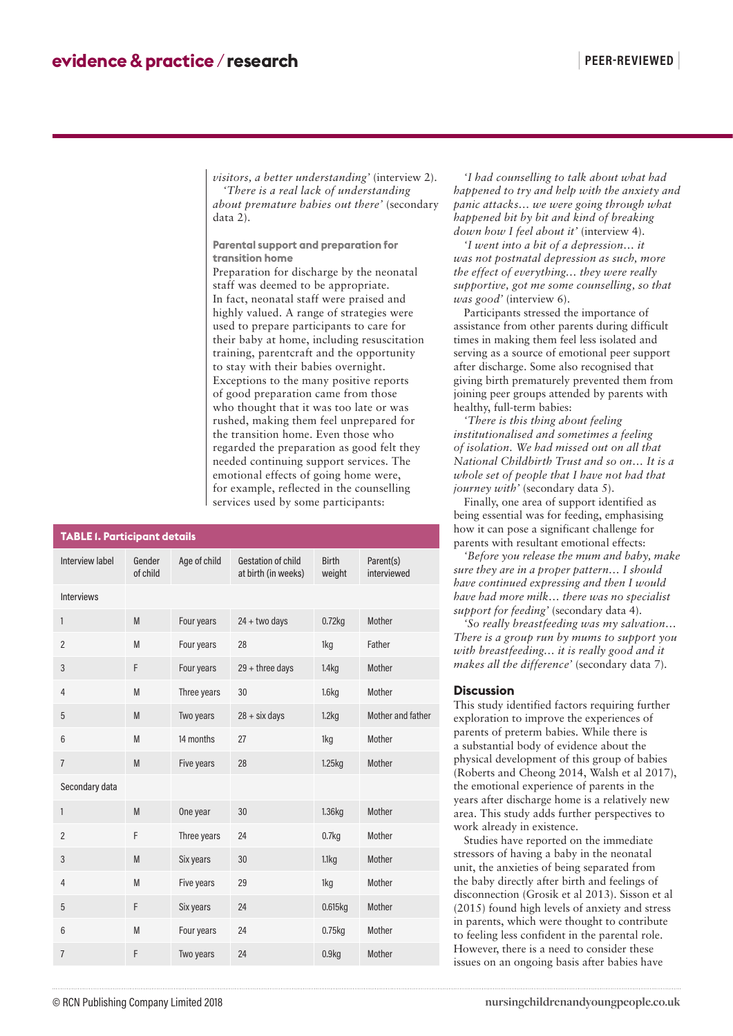*visitors, a better understanding'* (interview 2). *'There is a real lack of understanding about premature babies out there'* (secondary data 2).

**Parental support and preparation for transition home**

Preparation for discharge by the neonatal staff was deemed to be appropriate. In fact, neonatal staff were praised and highly valued. A range of strategies were used to prepare participants to care for their baby at home, including resuscitation training, parentcraft and the opportunity to stay with their babies overnight. Exceptions to the many positive reports of good preparation came from those who thought that it was too late or was rushed, making them feel unprepared for the transition home. Even those who regarded the preparation as good felt they needed continuing support services. The emotional effects of going home were, for example, reflected in the counselling services used by some participants:

| <b>TABLE 1. Participant details</b> |                    |              |                                                  |                        |                          |
|-------------------------------------|--------------------|--------------|--------------------------------------------------|------------------------|--------------------------|
| <b>Interview label</b>              | Gender<br>of child | Age of child | <b>Gestation of child</b><br>at birth (in weeks) | <b>Birth</b><br>weight | Parent(s)<br>interviewed |
| <b>Interviews</b>                   |                    |              |                                                  |                        |                          |
| 1                                   | M                  | Four years   | $24 + two days$                                  | $0.72$ kg              | Mother                   |
| $\overline{2}$                      | M                  | Four years   | 28                                               | 1kg                    | Father                   |
| 3                                   | F                  | Four years   | $29 +$ three days                                | 1.4 <sub>kq</sub>      | Mother                   |
| $\overline{4}$                      | M                  | Three years  | 30                                               | 1.6kg                  | Mother                   |
| 5                                   | M                  | Two years    | $28 + \text{six days}$                           | 1.2kg                  | Mother and father        |
| 6                                   | M                  | 14 months    | 27                                               | 1kg                    | Mother                   |
| $\overline{7}$                      | M                  | Five years   | 28                                               | 1.25kg                 | Mother                   |
| Secondary data                      |                    |              |                                                  |                        |                          |
| 1                                   | M                  | One year     | 30                                               | 1.36kg                 | Mother                   |
| $\overline{2}$                      | F                  | Three years  | 24                                               | 0.7 <sub>kq</sub>      | Mother                   |
| 3                                   | M                  | Six years    | 30                                               | 1.1kg                  | Mother                   |
| 4                                   | M                  | Five years   | 29                                               | 1kg                    | Mother                   |
| 5                                   | F                  | Six years    | 24                                               | 0.615kg                | Mother                   |
| 6                                   | M                  | Four years   | 24                                               | $0.75$ kg              | Mother                   |
| $\overline{7}$                      | F                  | Two years    | 24                                               | 0.9kg                  | Mother                   |

*'I had counselling to talk about what had happened to try and help with the anxiety and panic attacks… we were going through what happened bit by bit and kind of breaking down how I feel about it'* (interview 4).

*'I went into a bit of a depression… it was not postnatal depression as such, more the effect of everything… they were really supportive, got me some counselling, so that was good'* (interview 6).

Participants stressed the importance of assistance from other parents during difficult times in making them feel less isolated and serving as a source of emotional peer support after discharge. Some also recognised that giving birth prematurely prevented them from joining peer groups attended by parents with healthy, full-term babies:

*'There is this thing about feeling institutionalised and sometimes a feeling of isolation. We had missed out on all that National Childbirth Trust and so on… It is a whole set of people that I have not had that journey with'* (secondary data 5).

Finally, one area of support identified as being essential was for feeding, emphasising how it can pose a significant challenge for parents with resultant emotional effects:

*'Before you release the mum and baby, make sure they are in a proper pattern… I should have continued expressing and then I would have had more milk… there was no specialist support for feeding'* (secondary data 4).

*'So really breastfeeding was my salvation… There is a group run by mums to support you with breastfeeding… it is really good and it makes all the difference'* (secondary data 7).

#### **Discussion**

This study identified factors requiring further exploration to improve the experiences of parents of preterm babies. While there is a substantial body of evidence about the physical development of this group of babies (Roberts and Cheong 2014, Walsh et al 2017), the emotional experience of parents in the years after discharge home is a relatively new area. This study adds further perspectives to work already in existence.

Studies have reported on the immediate stressors of having a baby in the neonatal unit, the anxieties of being separated from the baby directly after birth and feelings of disconnection (Grosik et al 2013). Sisson et al (2015) found high levels of anxiety and stress in parents, which were thought to contribute to feeling less confident in the parental role. However, there is a need to consider these issues on an ongoing basis after babies have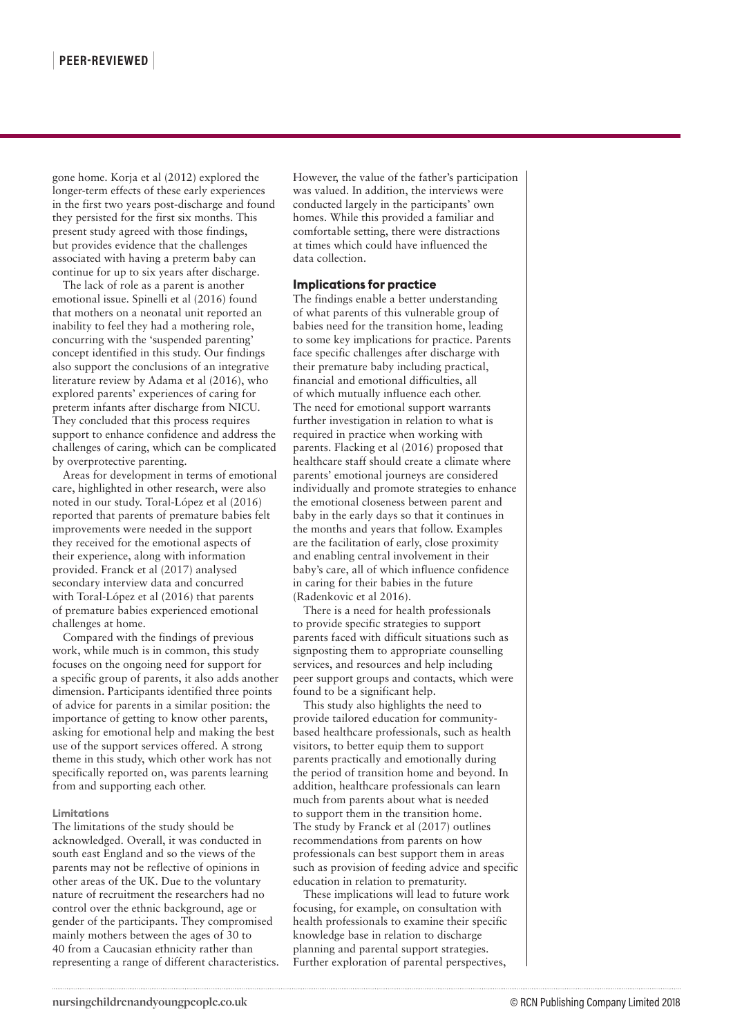gone home. Korja et al (2012) explored the longer-term effects of these early experiences in the first two years post-discharge and found they persisted for the first six months. This present study agreed with those findings, but provides evidence that the challenges associated with having a preterm baby can continue for up to six years after discharge.

The lack of role as a parent is another emotional issue. Spinelli et al (2016) found that mothers on a neonatal unit reported an inability to feel they had a mothering role, concurring with the 'suspended parenting' concept identified in this study. Our findings also support the conclusions of an integrative literature review by Adama et al (2016), who explored parents' experiences of caring for preterm infants after discharge from NICU. They concluded that this process requires support to enhance confidence and address the challenges of caring, which can be complicated by overprotective parenting.

Areas for development in terms of emotional care, highlighted in other research, were also noted in our study. Toral-López et al (2016) reported that parents of premature babies felt improvements were needed in the support they received for the emotional aspects of their experience, along with information provided. Franck et al (2017) analysed secondary interview data and concurred with Toral-López et al (2016) that parents of premature babies experienced emotional challenges at home.

Compared with the findings of previous work, while much is in common, this study focuses on the ongoing need for support for a specific group of parents, it also adds another dimension. Participants identified three points of advice for parents in a similar position: the importance of getting to know other parents, asking for emotional help and making the best use of the support services offered. A strong theme in this study, which other work has not specifically reported on, was parents learning from and supporting each other.

#### **Limitations**

The limitations of the study should be acknowledged. Overall, it was conducted in south east England and so the views of the parents may not be reflective of opinions in other areas of the UK. Due to the voluntary nature of recruitment the researchers had no control over the ethnic background, age or gender of the participants. They compromised mainly mothers between the ages of 30 to 40 from a Caucasian ethnicity rather than representing a range of different characteristics. However, the value of the father's participation was valued. In addition, the interviews were conducted largely in the participants' own homes. While this provided a familiar and comfortable setting, there were distractions at times which could have influenced the data collection.

#### **Implications for practice**

The findings enable a better understanding of what parents of this vulnerable group of babies need for the transition home, leading to some key implications for practice. Parents face specific challenges after discharge with their premature baby including practical, financial and emotional difficulties, all of which mutually influence each other. The need for emotional support warrants further investigation in relation to what is required in practice when working with parents. Flacking et al (2016) proposed that healthcare staff should create a climate where parents' emotional journeys are considered individually and promote strategies to enhance the emotional closeness between parent and baby in the early days so that it continues in the months and years that follow. Examples are the facilitation of early, close proximity and enabling central involvement in their baby's care, all of which influence confidence in caring for their babies in the future (Radenkovic et al 2016).

There is a need for health professionals to provide specific strategies to support parents faced with difficult situations such as signposting them to appropriate counselling services, and resources and help including peer support groups and contacts, which were found to be a significant help.

This study also highlights the need to provide tailored education for communitybased healthcare professionals, such as health visitors, to better equip them to support parents practically and emotionally during the period of transition home and beyond. In addition, healthcare professionals can learn much from parents about what is needed to support them in the transition home. The study by Franck et al (2017) outlines recommendations from parents on how professionals can best support them in areas such as provision of feeding advice and specific education in relation to prematurity.

These implications will lead to future work focusing, for example, on consultation with health professionals to examine their specific knowledge base in relation to discharge planning and parental support strategies. Further exploration of parental perspectives,